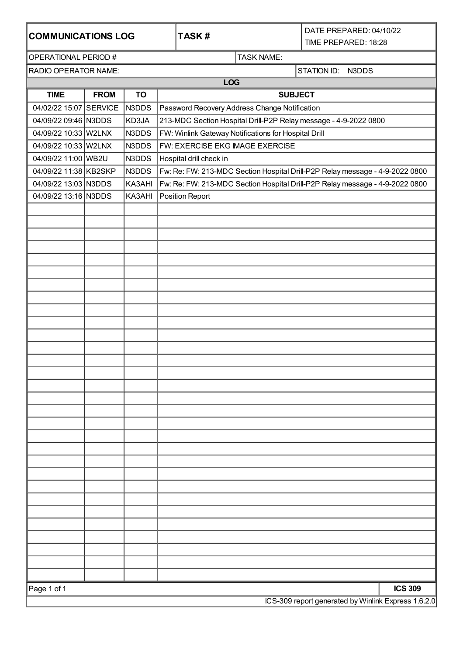| <b>COMMUNICATIONS LOG</b>                           |                |           |                                                                              | TASK# |                   | DATE PREPARED: 04/10/22<br>TIME PREPARED: 18:28 |  |  |  |  |  |  |  |
|-----------------------------------------------------|----------------|-----------|------------------------------------------------------------------------------|-------|-------------------|-------------------------------------------------|--|--|--|--|--|--|--|
| OPERATIONAL PERIOD #                                |                |           |                                                                              |       | <b>TASK NAME:</b> |                                                 |  |  |  |  |  |  |  |
| RADIO OPERATOR NAME:                                |                |           |                                                                              |       | STATION ID: N3DDS |                                                 |  |  |  |  |  |  |  |
|                                                     | <b>LOG</b>     |           |                                                                              |       |                   |                                                 |  |  |  |  |  |  |  |
| <b>TIME</b>                                         | <b>FROM</b>    | <b>TO</b> | <b>SUBJECT</b>                                                               |       |                   |                                                 |  |  |  |  |  |  |  |
| 04/02/22 15:07 SERVICE                              |                | N3DDS     | Password Recovery Address Change Notification                                |       |                   |                                                 |  |  |  |  |  |  |  |
| 04/09/22 09:46 N3DDS                                |                | KD3JA     | 213-MDC Section Hospital Drill-P2P Relay message - 4-9-2022 0800             |       |                   |                                                 |  |  |  |  |  |  |  |
| 04/09/22 10:33 W2LNX                                |                | N3DDS     | FW: Winlink Gateway Notifications for Hospital Drill                         |       |                   |                                                 |  |  |  |  |  |  |  |
| 04/09/22 10:33 W2LNX                                |                | N3DDS     | FW: EXERCISE EKG IMAGE EXERCISE                                              |       |                   |                                                 |  |  |  |  |  |  |  |
| 04/09/22 11:00 WB2U                                 |                | N3DDS     | Hospital drill check in                                                      |       |                   |                                                 |  |  |  |  |  |  |  |
| 04/09/22 11:38 KB2SKP                               |                | N3DDS     | Fw: Re: FW: 213-MDC Section Hospital Drill-P2P Relay message - 4-9-2022 0800 |       |                   |                                                 |  |  |  |  |  |  |  |
| 04/09/22 13:03 N3DDS                                |                | KA3AHI    | Fw: Re: FW: 213-MDC Section Hospital Drill-P2P Relay message - 4-9-2022 0800 |       |                   |                                                 |  |  |  |  |  |  |  |
| 04/09/22 13:16 N3DDS                                |                | KA3AHI    | Position Report                                                              |       |                   |                                                 |  |  |  |  |  |  |  |
|                                                     |                |           |                                                                              |       |                   |                                                 |  |  |  |  |  |  |  |
|                                                     |                |           |                                                                              |       |                   |                                                 |  |  |  |  |  |  |  |
|                                                     |                |           |                                                                              |       |                   |                                                 |  |  |  |  |  |  |  |
|                                                     |                |           |                                                                              |       |                   |                                                 |  |  |  |  |  |  |  |
|                                                     |                |           |                                                                              |       |                   |                                                 |  |  |  |  |  |  |  |
|                                                     |                |           |                                                                              |       |                   |                                                 |  |  |  |  |  |  |  |
|                                                     |                |           |                                                                              |       |                   |                                                 |  |  |  |  |  |  |  |
|                                                     |                |           |                                                                              |       |                   |                                                 |  |  |  |  |  |  |  |
|                                                     |                |           |                                                                              |       |                   |                                                 |  |  |  |  |  |  |  |
|                                                     |                |           |                                                                              |       |                   |                                                 |  |  |  |  |  |  |  |
|                                                     |                |           |                                                                              |       |                   |                                                 |  |  |  |  |  |  |  |
|                                                     |                |           |                                                                              |       |                   |                                                 |  |  |  |  |  |  |  |
|                                                     |                |           |                                                                              |       |                   |                                                 |  |  |  |  |  |  |  |
|                                                     |                |           |                                                                              |       |                   |                                                 |  |  |  |  |  |  |  |
|                                                     |                |           |                                                                              |       |                   |                                                 |  |  |  |  |  |  |  |
|                                                     |                |           |                                                                              |       |                   |                                                 |  |  |  |  |  |  |  |
|                                                     |                |           |                                                                              |       |                   |                                                 |  |  |  |  |  |  |  |
|                                                     |                |           |                                                                              |       |                   |                                                 |  |  |  |  |  |  |  |
|                                                     |                |           |                                                                              |       |                   |                                                 |  |  |  |  |  |  |  |
|                                                     |                |           |                                                                              |       |                   |                                                 |  |  |  |  |  |  |  |
|                                                     |                |           |                                                                              |       |                   |                                                 |  |  |  |  |  |  |  |
|                                                     |                |           |                                                                              |       |                   |                                                 |  |  |  |  |  |  |  |
|                                                     |                |           |                                                                              |       |                   |                                                 |  |  |  |  |  |  |  |
|                                                     |                |           |                                                                              |       |                   |                                                 |  |  |  |  |  |  |  |
|                                                     |                |           |                                                                              |       |                   |                                                 |  |  |  |  |  |  |  |
|                                                     |                |           |                                                                              |       |                   |                                                 |  |  |  |  |  |  |  |
|                                                     |                |           |                                                                              |       |                   |                                                 |  |  |  |  |  |  |  |
|                                                     |                |           |                                                                              |       |                   |                                                 |  |  |  |  |  |  |  |
|                                                     |                |           |                                                                              |       |                   |                                                 |  |  |  |  |  |  |  |
|                                                     |                |           |                                                                              |       |                   |                                                 |  |  |  |  |  |  |  |
| Page 1 of 1                                         | <b>ICS 309</b> |           |                                                                              |       |                   |                                                 |  |  |  |  |  |  |  |
| ICS-309 report generated by Winlink Express 1.6.2.0 |                |           |                                                                              |       |                   |                                                 |  |  |  |  |  |  |  |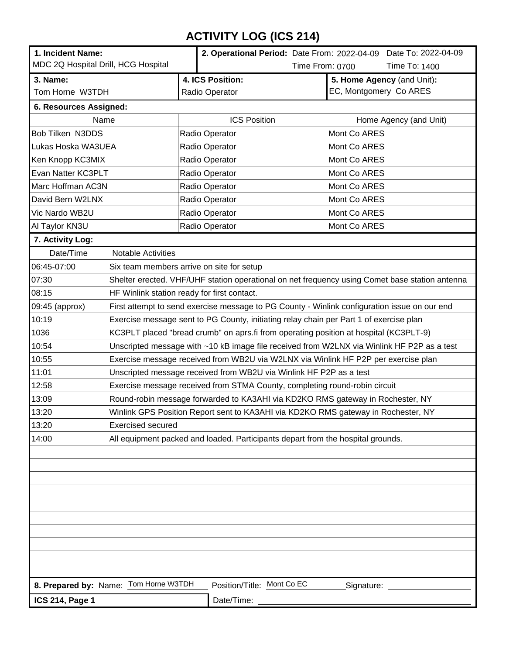# **ACTIVITY LOG (ICS 214)**

| 1. Incident Name:<br>MDC 2Q Hospital Drill, HCG Hospital                          |                                                                                                | 2. Operational Period: Date From: 2022-04-09 Date To: 2022-04-09<br>Time From: 0700<br>Time To: 1400 |  |                            |  |  |  |  |
|-----------------------------------------------------------------------------------|------------------------------------------------------------------------------------------------|------------------------------------------------------------------------------------------------------|--|----------------------------|--|--|--|--|
| 3. Name:                                                                          |                                                                                                | 4. ICS Position:                                                                                     |  | 5. Home Agency (and Unit): |  |  |  |  |
| Tom Horne W3TDH                                                                   |                                                                                                | Radio Operator                                                                                       |  | EC, Montgomery Co ARES     |  |  |  |  |
| 6. Resources Assigned:                                                            |                                                                                                |                                                                                                      |  |                            |  |  |  |  |
| Name                                                                              |                                                                                                | <b>ICS Position</b>                                                                                  |  | Home Agency (and Unit)     |  |  |  |  |
| Bob Tilken N3DDS                                                                  |                                                                                                | Radio Operator                                                                                       |  | Mont Co ARES               |  |  |  |  |
| Lukas Hoska WA3UEA                                                                |                                                                                                | Radio Operator                                                                                       |  | Mont Co ARES               |  |  |  |  |
| Ken Knopp KC3MIX                                                                  |                                                                                                | Radio Operator                                                                                       |  | Mont Co ARES               |  |  |  |  |
| Evan Natter KC3PLT                                                                |                                                                                                | Radio Operator                                                                                       |  | Mont Co ARES               |  |  |  |  |
| Marc Hoffman AC3N                                                                 |                                                                                                | Radio Operator                                                                                       |  | Mont Co ARES               |  |  |  |  |
| David Bern W2LNX                                                                  |                                                                                                | Radio Operator                                                                                       |  | Mont Co ARES               |  |  |  |  |
| Vic Nardo WB2U                                                                    |                                                                                                | Radio Operator                                                                                       |  | Mont Co ARES               |  |  |  |  |
| Al Taylor KN3U                                                                    |                                                                                                | Radio Operator                                                                                       |  | Mont Co ARES               |  |  |  |  |
| 7. Activity Log:                                                                  |                                                                                                |                                                                                                      |  |                            |  |  |  |  |
| Date/Time                                                                         | <b>Notable Activities</b>                                                                      |                                                                                                      |  |                            |  |  |  |  |
| 06:45-07:00                                                                       | Six team members arrive on site for setup                                                      |                                                                                                      |  |                            |  |  |  |  |
| 07:30                                                                             | Shelter erected. VHF/UHF station operational on net frequency using Comet base station antenna |                                                                                                      |  |                            |  |  |  |  |
| 08:15                                                                             | HF Winlink station ready for first contact.                                                    |                                                                                                      |  |                            |  |  |  |  |
| 09:45 (approx)                                                                    | First attempt to send exercise message to PG County - Winlink configuration issue on our end   |                                                                                                      |  |                            |  |  |  |  |
| 10:19                                                                             | Exercise message sent to PG County, initiating relay chain per Part 1 of exercise plan         |                                                                                                      |  |                            |  |  |  |  |
| 1036                                                                              | KC3PLT placed "bread crumb" on aprs.fi from operating position at hospital (KC3PLT-9)          |                                                                                                      |  |                            |  |  |  |  |
| 10:54                                                                             | Unscripted message with ~10 kB image file received from W2LNX via Winlink HF P2P as a test     |                                                                                                      |  |                            |  |  |  |  |
| 10:55                                                                             | Exercise message received from WB2U via W2LNX via Winlink HF P2P per exercise plan             |                                                                                                      |  |                            |  |  |  |  |
| 11:01                                                                             | Unscripted message received from WB2U via Winlink HF P2P as a test                             |                                                                                                      |  |                            |  |  |  |  |
| 12:58                                                                             |                                                                                                | Exercise message received from STMA County, completing round-robin circuit                           |  |                            |  |  |  |  |
| 13:09                                                                             | Round-robin message forwarded to KA3AHI via KD2KO RMS gateway in Rochester, NY                 |                                                                                                      |  |                            |  |  |  |  |
| 13:20                                                                             | Winlink GPS Position Report sent to KA3AHI via KD2KO RMS gateway in Rochester, NY              |                                                                                                      |  |                            |  |  |  |  |
| 13:20                                                                             | <b>Exercised secured</b>                                                                       |                                                                                                      |  |                            |  |  |  |  |
| 14:00                                                                             | All equipment packed and loaded. Participants depart from the hospital grounds.                |                                                                                                      |  |                            |  |  |  |  |
|                                                                                   |                                                                                                |                                                                                                      |  |                            |  |  |  |  |
|                                                                                   |                                                                                                |                                                                                                      |  |                            |  |  |  |  |
|                                                                                   |                                                                                                |                                                                                                      |  |                            |  |  |  |  |
|                                                                                   |                                                                                                |                                                                                                      |  |                            |  |  |  |  |
|                                                                                   |                                                                                                |                                                                                                      |  |                            |  |  |  |  |
|                                                                                   |                                                                                                |                                                                                                      |  |                            |  |  |  |  |
|                                                                                   |                                                                                                |                                                                                                      |  |                            |  |  |  |  |
|                                                                                   |                                                                                                |                                                                                                      |  |                            |  |  |  |  |
|                                                                                   |                                                                                                |                                                                                                      |  |                            |  |  |  |  |
|                                                                                   |                                                                                                |                                                                                                      |  |                            |  |  |  |  |
| 8. Prepared by: Name: Tom Horne W3TDH<br>Position/Title: Mont Co EC<br>Signature: |                                                                                                |                                                                                                      |  |                            |  |  |  |  |
| <b>ICS 214, Page 1</b>                                                            |                                                                                                | Date/Time:                                                                                           |  |                            |  |  |  |  |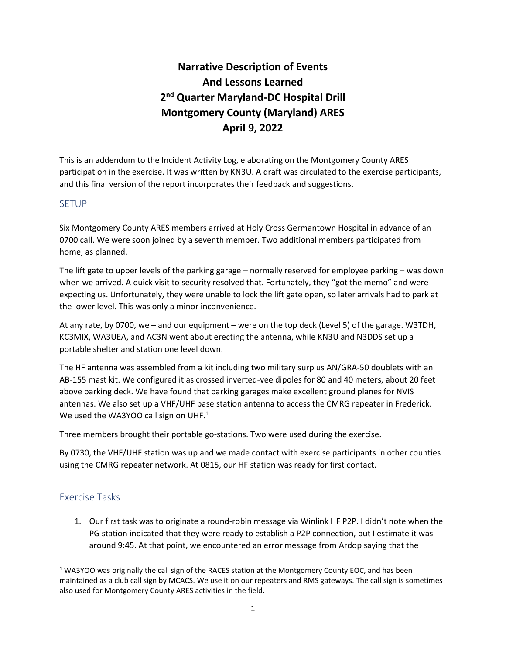# **Narrative Description of Events And Lessons Learned 2 nd Quarter Maryland-DC Hospital Drill Montgomery County (Maryland) ARES April 9, 2022**

This is an addendum to the Incident Activity Log, elaborating on the Montgomery County ARES participation in the exercise. It was written by KN3U. A draft was circulated to the exercise participants, and this final version of the report incorporates their feedback and suggestions.

#### SETUP

Six Montgomery County ARES members arrived at Holy Cross Germantown Hospital in advance of an 0700 call. We were soon joined by a seventh member. Two additional members participated from home, as planned.

The lift gate to upper levels of the parking garage – normally reserved for employee parking – was down when we arrived. A quick visit to security resolved that. Fortunately, they "got the memo" and were expecting us. Unfortunately, they were unable to lock the lift gate open, so later arrivals had to park at the lower level. This was only a minor inconvenience.

At any rate, by 0700, we – and our equipment – were on the top deck (Level 5) of the garage. W3TDH, KC3MIX, WA3UEA, and AC3N went about erecting the antenna, while KN3U and N3DDS set up a portable shelter and station one level down.

The HF antenna was assembled from a kit including two military surplus AN/GRA-50 doublets with an AB-155 mast kit. We configured it as crossed inverted-vee dipoles for 80 and 40 meters, about 20 feet above parking deck. We have found that parking garages make excellent ground planes for NVIS antennas. We also set up a VHF/UHF base station antenna to access the CMRG repeater in Frederick. We used the WA3YOO call sign on UHF. $<sup>1</sup>$ </sup>

Three members brought their portable go-stations. Two were used during the exercise.

By 0730, the VHF/UHF station was up and we made contact with exercise participants in other counties using the CMRG repeater network. At 0815, our HF station was ready for first contact.

### Exercise Tasks

1. Our first task was to originate a round-robin message via Winlink HF P2P. I didn't note when the PG station indicated that they were ready to establish a P2P connection, but I estimate it was around 9:45. At that point, we encountered an error message from Ardop saying that the

 $1$  WA3YOO was originally the call sign of the RACES station at the Montgomery County EOC, and has been maintained as a club call sign by MCACS. We use it on our repeaters and RMS gateways. The call sign is sometimes also used for Montgomery County ARES activities in the field.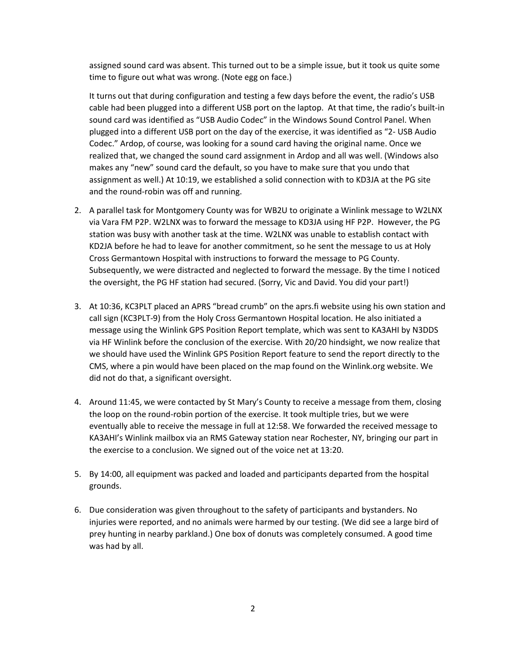assigned sound card was absent. This turned out to be a simple issue, but it took us quite some time to figure out what was wrong. (Note egg on face.)

It turns out that during configuration and testing a few days before the event, the radio's USB cable had been plugged into a different USB port on the laptop. At that time, the radio's built-in sound card was identified as "USB Audio Codec" in the Windows Sound Control Panel. When plugged into a different USB port on the day of the exercise, it was identified as "2- USB Audio Codec." Ardop, of course, was looking for a sound card having the original name. Once we realized that, we changed the sound card assignment in Ardop and all was well. (Windows also makes any "new" sound card the default, so you have to make sure that you undo that assignment as well.) At 10:19, we established a solid connection with to KD3JA at the PG site and the round-robin was off and running.

- 2. A parallel task for Montgomery County was for WB2U to originate a Winlink message to W2LNX via Vara FM P2P. W2LNX was to forward the message to KD3JA using HF P2P. However, the PG station was busy with another task at the time. W2LNX was unable to establish contact with KD2JA before he had to leave for another commitment, so he sent the message to us at Holy Cross Germantown Hospital with instructions to forward the message to PG County. Subsequently, we were distracted and neglected to forward the message. By the time I noticed the oversight, the PG HF station had secured. (Sorry, Vic and David. You did your part!)
- 3. At 10:36, KC3PLT placed an APRS "bread crumb" on the aprs.fi website using his own station and call sign (KC3PLT-9) from the Holy Cross Germantown Hospital location. He also initiated a message using the Winlink GPS Position Report template, which was sent to KA3AHI by N3DDS via HF Winlink before the conclusion of the exercise. With 20/20 hindsight, we now realize that we should have used the Winlink GPS Position Report feature to send the report directly to the CMS, where a pin would have been placed on the map found on the Winlink.org website. We did not do that, a significant oversight.
- 4. Around 11:45, we were contacted by St Mary's County to receive a message from them, closing the loop on the round-robin portion of the exercise. It took multiple tries, but we were eventually able to receive the message in full at 12:58. We forwarded the received message to KA3AHI's Winlink mailbox via an RMS Gateway station near Rochester, NY, bringing our part in the exercise to a conclusion. We signed out of the voice net at 13:20.
- 5. By 14:00, all equipment was packed and loaded and participants departed from the hospital grounds.
- 6. Due consideration was given throughout to the safety of participants and bystanders. No injuries were reported, and no animals were harmed by our testing. (We did see a large bird of prey hunting in nearby parkland.) One box of donuts was completely consumed. A good time was had by all.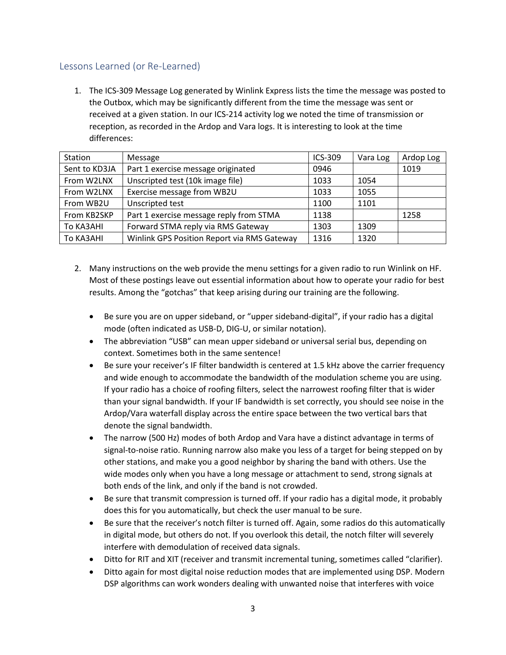## Lessons Learned (or Re-Learned)

1. The ICS-309 Message Log generated by Winlink Express lists the time the message was posted to the Outbox, which may be significantly different from the time the message was sent or received at a given station. In our ICS-214 activity log we noted the time of transmission or reception, as recorded in the Ardop and Vara logs. It is interesting to look at the time differences:

| Station       | Message                                     | ICS-309 | Vara Log | Ardop Log |
|---------------|---------------------------------------------|---------|----------|-----------|
| Sent to KD3JA | Part 1 exercise message originated          | 0946    |          | 1019      |
| From W2LNX    | Unscripted test (10k image file)            | 1033    | 1054     |           |
| From W2LNX    | Exercise message from WB2U                  | 1033    | 1055     |           |
| From WB2U     | Unscripted test                             | 1100    | 1101     |           |
| From KB2SKP   | Part 1 exercise message reply from STMA     | 1138    |          | 1258      |
| To KA3AHI     | Forward STMA reply via RMS Gateway          | 1303    | 1309     |           |
| To KA3AHI     | Winlink GPS Position Report via RMS Gateway | 1316    | 1320     |           |

- 2. Many instructions on the web provide the menu settings for a given radio to run Winlink on HF. Most of these postings leave out essential information about how to operate your radio for best results. Among the "gotchas" that keep arising during our training are the following.
	- Be sure you are on upper sideband, or "upper sideband-digital", if your radio has a digital mode (often indicated as USB-D, DIG-U, or similar notation).
	- The abbreviation "USB" can mean upper sideband or universal serial bus, depending on context. Sometimes both in the same sentence!
	- Be sure your receiver's IF filter bandwidth is centered at 1.5 kHz above the carrier frequency and wide enough to accommodate the bandwidth of the modulation scheme you are using. If your radio has a choice of roofing filters, select the narrowest roofing filter that is wider than your signal bandwidth. If your IF bandwidth is set correctly, you should see noise in the Ardop/Vara waterfall display across the entire space between the two vertical bars that denote the signal bandwidth.
	- The narrow (500 Hz) modes of both Ardop and Vara have a distinct advantage in terms of signal-to-noise ratio. Running narrow also make you less of a target for being stepped on by other stations, and make you a good neighbor by sharing the band with others. Use the wide modes only when you have a long message or attachment to send, strong signals at both ends of the link, and only if the band is not crowded.
	- Be sure that transmit compression is turned off. If your radio has a digital mode, it probably does this for you automatically, but check the user manual to be sure.
	- Be sure that the receiver's notch filter is turned off. Again, some radios do this automatically in digital mode, but others do not. If you overlook this detail, the notch filter will severely interfere with demodulation of received data signals.
	- Ditto for RIT and XIT (receiver and transmit incremental tuning, sometimes called "clarifier).
	- Ditto again for most digital noise reduction modes that are implemented using DSP. Modern DSP algorithms can work wonders dealing with unwanted noise that interferes with voice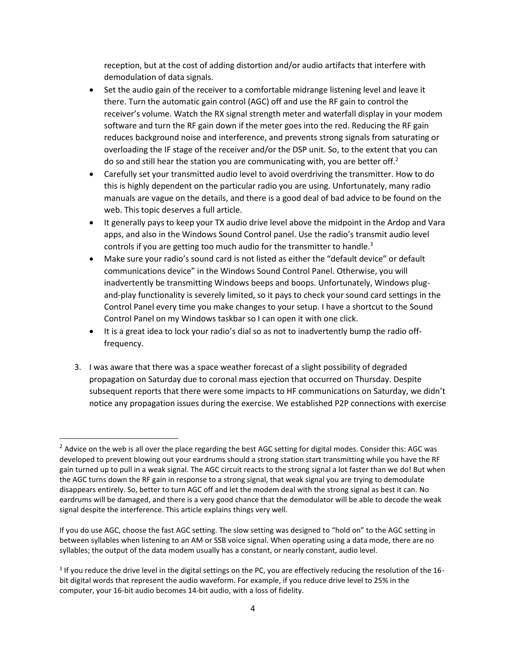reception, but at the cost of adding distortion and/or audio artifacts that interfere with demodulation of data signals.

- Set the audio gain of the receiver to a comfortable midrange listening level and leave it there. Turn the automatic gain control (AGC) off and use the RF gain to control the receiver's volume. Watch the RX signal strength meter and waterfall display in your modem software and turn the RF gain down if the meter goes into the red. Reducing the RF gain reduces background noise and interference, and prevents strong signals from saturating or overloading the IF stage of the receiver and/or the DSP unit. So, to the extent that you can do so and still hear the station you are communicating with, you are better off.<sup>2</sup>
- Carefully set your transmitted audio level to avoid overdriving the transmitter. How to do this is highly dependent on the particular radio you are using. Unfortunately, many radio manuals are vague on the details, and there is a good deal of bad advice to be found on the web. This topic deserves a full article.
- It generally pays to keep your TX audio drive level above the midpoint in the Ardop and Vara apps, and also in the Windows Sound Control panel. Use the radio's transmit audio level controls if you are getting too much audio for the transmitter to handle.<sup>3</sup>
- Make sure your radio's sound card is not listed as either the "default device" or default communications device" in the Windows Sound Control Panel. Otherwise, you will inadvertently be transmitting Windows beeps and boops. Unfortunately, Windows plugand-play functionality is severely limited, so it pays to check your sound card settings in the Control Panel every time you make changes to your setup. I have a shortcut to the Sound Control Panel on my Windows taskbar so I can open it with one click.
- It is a great idea to lock your radio's dial so as not to inadvertently bump the radio offfrequency.
- 3. I was aware that there was a space weather forecast of a slight possibility of degraded propagation on Saturday due to coronal mass ejection that occurred on Thursday. Despite subsequent reports that there were some impacts to HF communications on Saturday, we didn't notice any propagation issues during the exercise. We established P2P connections with exercise

If you do use AGC, choose the fast AGC setting. The slow setting was designed to "hold on" to the AGC setting in between syllables when listening to an AM or SSB voice signal. When operating using a data mode, there are no syllables; the output of the data modem usually has a constant, or nearly constant, audio level.

 $2$  Advice on the web is all over the place regarding the best AGC setting for digital modes. Consider this: AGC was developed to prevent blowing out your eardrums should a strong station start transmitting while you have the RF gain turned up to pull in a weak signal. The AGC circuit reacts to the strong signal a lot faster than we do! But when the AGC turns down the RF gain in response to a strong signal, that weak signal you are trying to demodulate disappears entirely. So, better to turn AGC off and let the modem deal with the strong signal as best it can. No eardrums will be damaged, and there is a very good chance that the demodulator will be able to decode the weak signal despite the interference. This article explains things very well.

<sup>&</sup>lt;sup>3</sup> If you reduce the drive level in the digital settings on the PC, you are effectively reducing the resolution of the 16bit digital words that represent the audio waveform. For example, if you reduce drive level to 25% in the computer, your 16-bit audio becomes 14-bit audio, with a loss of fidelity.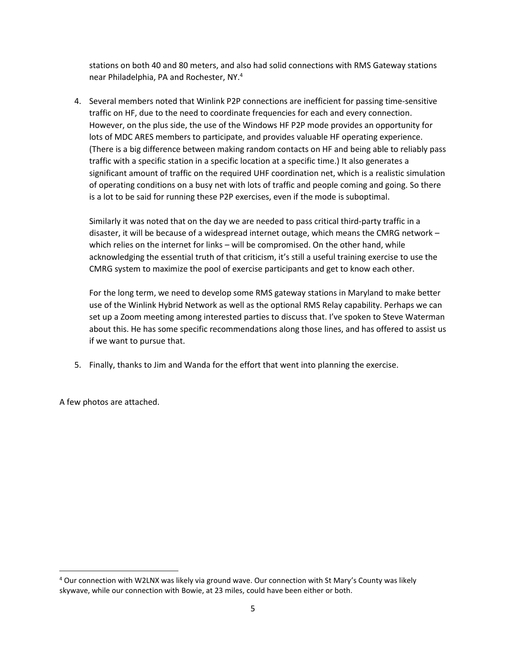stations on both 40 and 80 meters, and also had solid connections with RMS Gateway stations near Philadelphia, PA and Rochester, NY.<sup>4</sup>

4. Several members noted that Winlink P2P connections are inefficient for passing time-sensitive traffic on HF, due to the need to coordinate frequencies for each and every connection. However, on the plus side, the use of the Windows HF P2P mode provides an opportunity for lots of MDC ARES members to participate, and provides valuable HF operating experience. (There is a big difference between making random contacts on HF and being able to reliably pass traffic with a specific station in a specific location at a specific time.) It also generates a significant amount of traffic on the required UHF coordination net, which is a realistic simulation of operating conditions on a busy net with lots of traffic and people coming and going. So there is a lot to be said for running these P2P exercises, even if the mode is suboptimal.

Similarly it was noted that on the day we are needed to pass critical third-party traffic in a disaster, it will be because of a widespread internet outage, which means the CMRG network – which relies on the internet for links – will be compromised. On the other hand, while acknowledging the essential truth of that criticism, it's still a useful training exercise to use the CMRG system to maximize the pool of exercise participants and get to know each other.

For the long term, we need to develop some RMS gateway stations in Maryland to make better use of the Winlink Hybrid Network as well as the optional RMS Relay capability. Perhaps we can set up a Zoom meeting among interested parties to discuss that. I've spoken to Steve Waterman about this. He has some specific recommendations along those lines, and has offered to assist us if we want to pursue that.

5. Finally, thanks to Jim and Wanda for the effort that went into planning the exercise.

A few photos are attached.

<sup>4</sup> Our connection with W2LNX was likely via ground wave. Our connection with St Mary's County was likely skywave, while our connection with Bowie, at 23 miles, could have been either or both.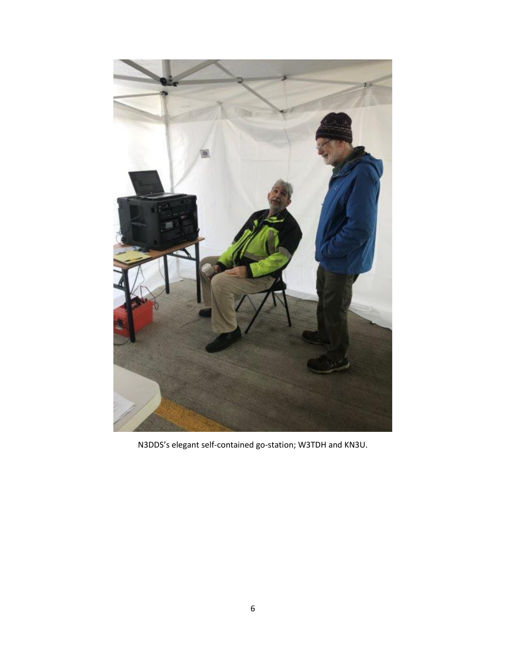

N3DDS's elegant self-contained go-station; W3TDH and KN3U.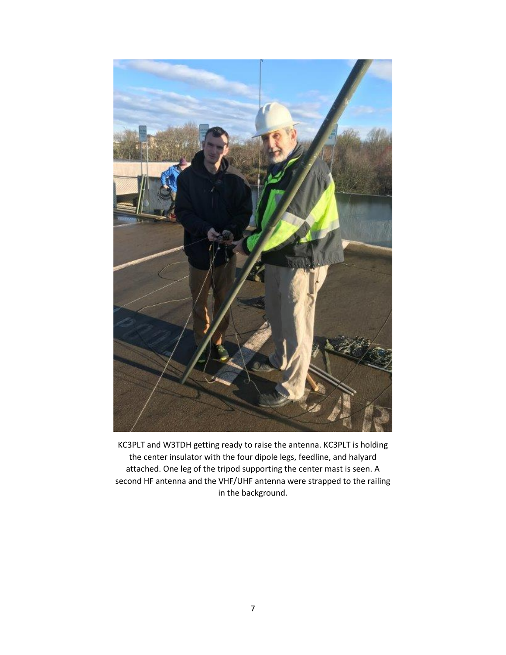

KC3PLT and W3TDH getting ready to raise the antenna. KC3PLT is holding the center insulator with the four dipole legs, feedline, and halyard attached. One leg of the tripod supporting the center mast is seen. A second HF antenna and the VHF/UHF antenna were strapped to the railing in the background.